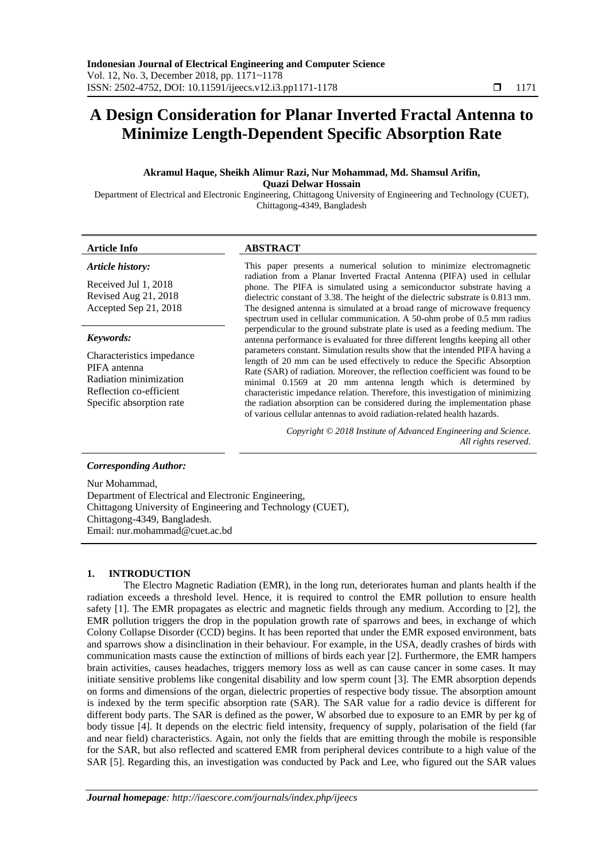# **A Design Consideration for Planar Inverted Fractal Antenna to Minimize Length-Dependent Specific Absorption Rate**

## **Akramul Haque, Sheikh Alimur Razi, Nur Mohammad, Md. Shamsul Arifin, Quazi Delwar Hossain**

Department of Electrical and Electronic Engineering, Chittagong University of Engineering and Technology (CUET), Chittagong-4349, Bangladesh

#### **Article Info ABSTRACT**

#### *Article history:*

Received Jul 1, 2018 Revised Aug 21, 2018 Accepted Sep 21, 2018

#### *Keywords:*

Characteristics impedance PIFA antenna Radiation minimization Reflection co-efficient Specific absorption rate

This paper presents a numerical solution to minimize electromagnetic radiation from a Planar Inverted Fractal Antenna (PIFA) used in cellular phone. The PIFA is simulated using a semiconductor substrate having a dielectric constant of 3.38. The height of the dielectric substrate is 0.813 mm. The designed antenna is simulated at a broad range of microwave frequency spectrum used in cellular communication. A 50-ohm probe of 0.5 mm radius perpendicular to the ground substrate plate is used as a feeding medium. The antenna performance is evaluated for three different lengths keeping all other parameters constant. Simulation results show that the intended PIFA having a length of 20 mm can be used effectively to reduce the Specific Absorption Rate (SAR) of radiation. Moreover, the reflection coefficient was found to be minimal 0.1569 at 20 mm antenna length which is determined by characteristic impedance relation. Therefore, this investigation of minimizing the radiation absorption can be considered during the implementation phase of various cellular antennas to avoid radiation-related health hazards.

> *Copyright © 2018 Institute of Advanced Engineering and Science. All rights reserved.*

#### *Corresponding Author:*

Nur Mohammad, Department of Electrical and Electronic Engineering, Chittagong University of Engineering and Technology (CUET), Chittagong-4349, Bangladesh. Email: nur.mohammad@cuet.ac.bd

#### **1. INTRODUCTION**

The Electro Magnetic Radiation (EMR), in the long run, deteriorates human and plants health if the radiation exceeds a threshold level. Hence, it is required to control the EMR pollution to ensure health safety [1]. The EMR propagates as electric and magnetic fields through any medium. According to [2], the EMR pollution triggers the drop in the population growth rate of sparrows and bees, in exchange of which Colony Collapse Disorder (CCD) begins. It has been reported that under the EMR exposed environment, bats and sparrows show a disinclination in their behaviour. For example, in the USA, deadly crashes of birds with communication masts cause the extinction of millions of birds each year [2]. Furthermore, the EMR hampers brain activities, causes headaches, triggers memory loss as well as can cause cancer in some cases. It may initiate sensitive problems like congenital disability and low sperm count [3]. The EMR absorption depends on forms and dimensions of the organ, dielectric properties of respective body tissue. The absorption amount is indexed by the term specific absorption rate (SAR). The SAR value for a radio device is different for different body parts. The SAR is defined as the power, W absorbed due to exposure to an EMR by per kg of body tissue [4]. It depends on the electric field intensity, frequency of supply, polarisation of the field (far and near field) characteristics. Again, not only the fields that are emitting through the mobile is responsible for the SAR, but also reflected and scattered EMR from peripheral devices contribute to a high value of the SAR [5]. Regarding this, an investigation was conducted by Pack and Lee, who figured out the SAR values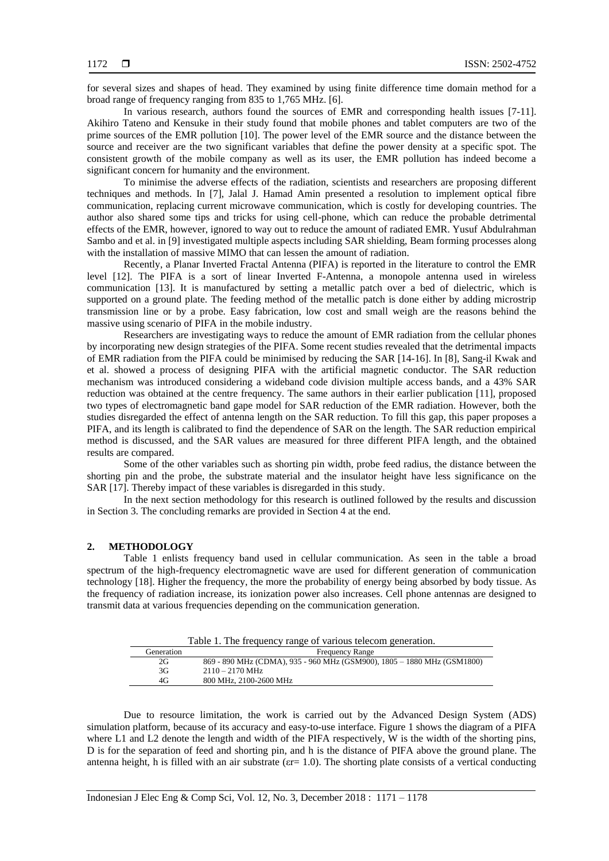for several sizes and shapes of head. They examined by using finite difference time domain method for a broad range of frequency ranging from 835 to 1,765 MHz. [6].

In various research, authors found the sources of EMR and corresponding health issues [7-11]. Akihiro Tateno and Kensuke in their study found that mobile phones and tablet computers are two of the prime sources of the EMR pollution [10]. The power level of the EMR source and the distance between the source and receiver are the two significant variables that define the power density at a specific spot. The consistent growth of the mobile company as well as its user, the EMR pollution has indeed become a significant concern for humanity and the environment.

To minimise the adverse effects of the radiation, scientists and researchers are proposing different techniques and methods. In [7], Jalal J. Hamad Amin presented a resolution to implement optical fibre communication, replacing current microwave communication, which is costly for developing countries. The author also shared some tips and tricks for using cell-phone, which can reduce the probable detrimental effects of the EMR, however, ignored to way out to reduce the amount of radiated EMR. Yusuf Abdulrahman Sambo and et al. in [9] investigated multiple aspects including SAR shielding, Beam forming processes along with the installation of massive MIMO that can lessen the amount of radiation.

Recently, a Planar Inverted Fractal Antenna (PIFA) is reported in the literature to control the EMR level [12]. The PIFA is a sort of linear Inverted F-Antenna, a monopole antenna used in wireless communication [13]. It is manufactured by setting a metallic patch over a bed of dielectric, which is supported on a ground plate. The feeding method of the metallic patch is done either by adding microstrip transmission line or by a probe. Easy fabrication, low cost and small weigh are the reasons behind the massive using scenario of PIFA in the mobile industry.

Researchers are investigating ways to reduce the amount of EMR radiation from the cellular phones by incorporating new design strategies of the PIFA. Some recent studies revealed that the detrimental impacts of EMR radiation from the PIFA could be minimised by reducing the SAR [14-16]. In [8], Sang-il Kwak and et al. showed a process of designing PIFA with the artificial magnetic conductor. The SAR reduction mechanism was introduced considering a wideband code division multiple access bands, and a 43% SAR reduction was obtained at the centre frequency. The same authors in their earlier publication [11], proposed two types of electromagnetic band gape model for SAR reduction of the EMR radiation. However, both the studies disregarded the effect of antenna length on the SAR reduction. To fill this gap, this paper proposes a PIFA, and its length is calibrated to find the dependence of SAR on the length. The SAR reduction empirical method is discussed, and the SAR values are measured for three different PIFA length, and the obtained results are compared.

Some of the other variables such as shorting pin width, probe feed radius, the distance between the shorting pin and the probe, the substrate material and the insulator height have less significance on the SAR [17]. Thereby impact of these variables is disregarded in this study.

In the next section methodology for this research is outlined followed by the results and discussion in Section 3. The concluding remarks are provided in Section 4 at the end.

### **2. METHODOLOGY**

Table 1 enlists frequency band used in cellular communication. As seen in the table a broad spectrum of the high-frequency electromagnetic wave are used for different generation of communication technology [18]. Higher the frequency, the more the probability of energy being absorbed by body tissue. As the frequency of radiation increase, its ionization power also increases. Cell phone antennas are designed to transmit data at various frequencies depending on the communication generation.

Table 1. The frequency range of various telecom generation.

| Generation | <b>Frequency Range</b>                                                  |
|------------|-------------------------------------------------------------------------|
| 2G         | 869 - 890 MHz (CDMA), 935 - 960 MHz (GSM900), 1805 - 1880 MHz (GSM1800) |
| 3G         | $2110 - 2170$ MHz                                                       |
| 4G         | 800 MHz, 2100-2600 MHz                                                  |

Due to resource limitation, the work is carried out by the Advanced Design System (ADS) simulation platform, because of its accuracy and easy-to-use interface. Figure 1 shows the diagram of a PIFA where L1 and L2 denote the length and width of the PIFA respectively, W is the width of the shorting pins, D is for the separation of feed and shorting pin, and h is the distance of PIFA above the ground plane. The antenna height, h is filled with an air substrate ( $\varepsilon$ r= 1.0). The shorting plate consists of a vertical conducting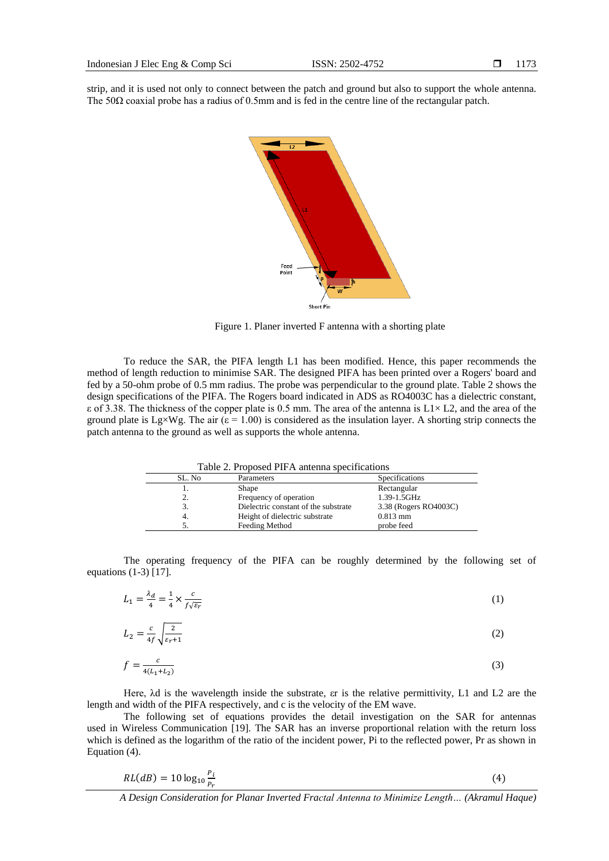strip, and it is used not only to connect between the patch and ground but also to support the whole antenna. The 50 $\Omega$  coaxial probe has a radius of 0.5mm and is fed in the centre line of the rectangular patch.



Figure 1. Planer inverted F antenna with a shorting plate

To reduce the SAR, the PIFA length L1 has been modified. Hence, this paper recommends the method of length reduction to minimise SAR. The designed PIFA has been printed over a Rogers' board and fed by a 50-ohm probe of 0.5 mm radius. The probe was perpendicular to the ground plate. Table 2 shows the design specifications of the PIFA. The Rogers board indicated in ADS as RO4003C has a dielectric constant,  $\epsilon$  of 3.38. The thickness of the copper plate is 0.5 mm. The area of the antenna is L1× L2, and the area of the ground plate is Lg×Wg. The air ( $\varepsilon$  = 1.00) is considered as the insulation layer. A shorting strip connects the patch antenna to the ground as well as supports the whole antenna.

| Table 2. Proposed PIFA antenna specifications |                                      |                       |  |  |
|-----------------------------------------------|--------------------------------------|-----------------------|--|--|
| SL. No                                        | Parameters                           | Specifications        |  |  |
|                                               | <b>Shape</b>                         | Rectangular           |  |  |
| 2.                                            | Frequency of operation               | 1.39-1.5GHz           |  |  |
| 3.                                            | Dielectric constant of the substrate | 3.38 (Rogers RO4003C) |  |  |
| 4.                                            | Height of dielectric substrate       | $0.813$ mm            |  |  |
|                                               | Feeding Method                       | probe feed            |  |  |

The operating frequency of the PIFA can be roughly determined by the following set of equations (1-3) [17].

$$
L_1 = \frac{\lambda_d}{4} = \frac{1}{4} \times \frac{c}{f\sqrt{\varepsilon_r}}\tag{1}
$$

$$
L_2 = \frac{c}{4f} \sqrt{\frac{2}{\varepsilon_r + 1}}\tag{2}
$$

$$
f = \frac{c}{4(L_1 + L_2)}\tag{3}
$$

Here, λd is the wavelength inside the substrate, εr is the relative permittivity, L1 and L2 are the length and width of the PIFA respectively, and c is the velocity of the EM wave.

The following set of equations provides the detail investigation on the SAR for antennas used in Wireless Communication [19]. The SAR has an inverse proportional relation with the return loss which is defined as the logarithm of the ratio of the incident power, Pi to the reflected power, Pr as shown in Equation (4).

$$
RL(dB) = 10 \log_{10} \frac{P_i}{P_r} \tag{4}
$$

*A Design Consideration for Planar Inverted Fractal Antenna to Minimize Length… (Akramul Haque)*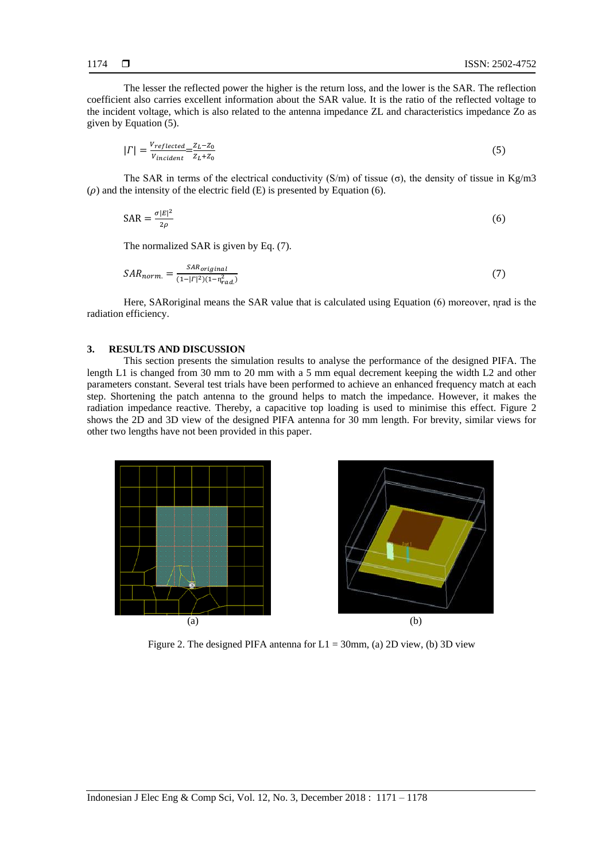The lesser the reflected power the higher is the return loss, and the lower is the SAR. The reflection coefficient also carries excellent information about the SAR value. It is the ratio of the reflected voltage to the incident voltage, which is also related to the antenna impedance ZL and characteristics impedance Zo as given by Equation (5).

$$
|\Gamma| = \frac{V_{reflected}}{V_{incident}} = \frac{Z_L - Z_0}{Z_L + Z_0} \tag{5}
$$

The SAR in terms of the electrical conductivity (S/m) of tissue (σ), the density of tissue in Kg/m3  $(\rho)$  and the intensity of the electric field (E) is presented by Equation (6).

$$
SAR = \frac{\sigma |E|^2}{2\rho} \tag{6}
$$

The normalized SAR is given by Eq. (7).

$$
SAR_{norm.} = \frac{SAR_{original}}{(1 - |\Gamma|^2)(1 - n_{rad.}^2)}
$$
\n<sup>(7)</sup>

Here, SARoriginal means the SAR value that is calculated using Equation (6) moreover, nrad is the radiation efficiency.

#### **3. RESULTS AND DISCUSSION**

This section presents the simulation results to analyse the performance of the designed PIFA. The length L1 is changed from 30 mm to 20 mm with a 5 mm equal decrement keeping the width L2 and other parameters constant. Several test trials have been performed to achieve an enhanced frequency match at each step. Shortening the patch antenna to the ground helps to match the impedance. However, it makes the radiation impedance reactive. Thereby, a capacitive top loading is used to minimise this effect. Figure 2 shows the 2D and 3D view of the designed PIFA antenna for 30 mm length. For brevity, similar views for other two lengths have not been provided in this paper.



Figure 2. The designed PIFA antenna for  $L1 = 30$ mm, (a) 2D view, (b) 3D view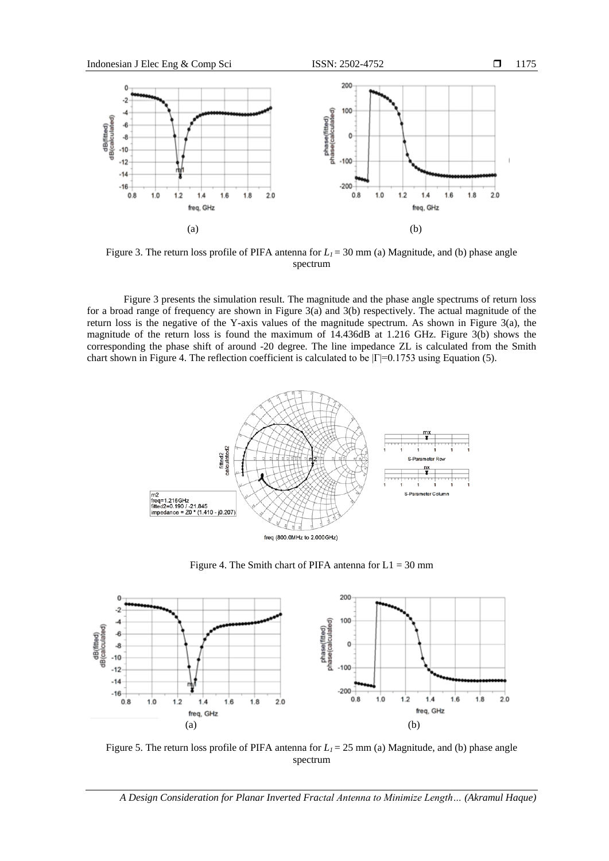

Figure 3. The return loss profile of PIFA antenna for  $L_1 = 30$  mm (a) Magnitude, and (b) phase angle spectrum

Figure 3 presents the simulation result. The magnitude and the phase angle spectrums of return loss for a broad range of frequency are shown in Figure 3(a) and 3(b) respectively. The actual magnitude of the return loss is the negative of the Y-axis values of the magnitude spectrum. As shown in Figure 3(a), the magnitude of the return loss is found the maximum of 14.436dB at 1.216 GHz. Figure 3(b) shows the corresponding the phase shift of around -20 degree. The line impedance ZL is calculated from the Smith chart shown in Figure 4. The reflection coefficient is calculated to be  $|\Gamma|=0.1753$  using Equation (5).



Figure 4. The Smith chart of PIFA antenna for  $L1 = 30$  mm



Figure 5. The return loss profile of PIFA antenna for *L<sup>1</sup>* = 25 mm (a) Magnitude, and (b) phase angle spectrum

*A Design Consideration for Planar Inverted Fractal Antenna to Minimize Length… (Akramul Haque)*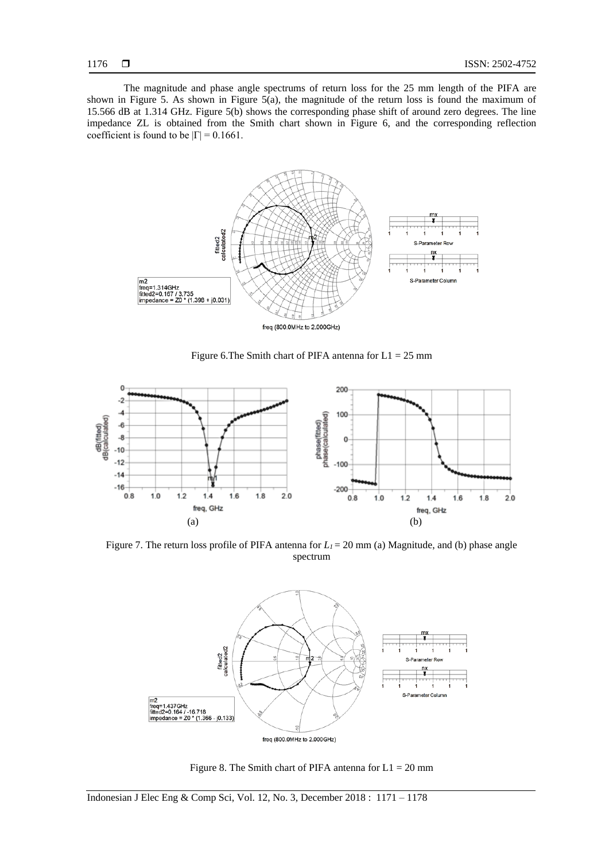The magnitude and phase angle spectrums of return loss for the 25 mm length of the PIFA are shown in Figure 5. As shown in Figure 5(a), the magnitude of the return loss is found the maximum of 15.566 dB at 1.314 GHz. Figure 5(b) shows the corresponding phase shift of around zero degrees. The line impedance ZL is obtained from the Smith chart shown in Figure 6, and the corresponding reflection coefficient is found to be  $|\Gamma| = 0.1661$ .



Figure 6. The Smith chart of PIFA antenna for  $L1 = 25$  mm



Figure 7. The return loss profile of PIFA antenna for  $L_1 = 20$  mm (a) Magnitude, and (b) phase angle spectrum



Figure 8. The Smith chart of PIFA antenna for  $L1 = 20$  mm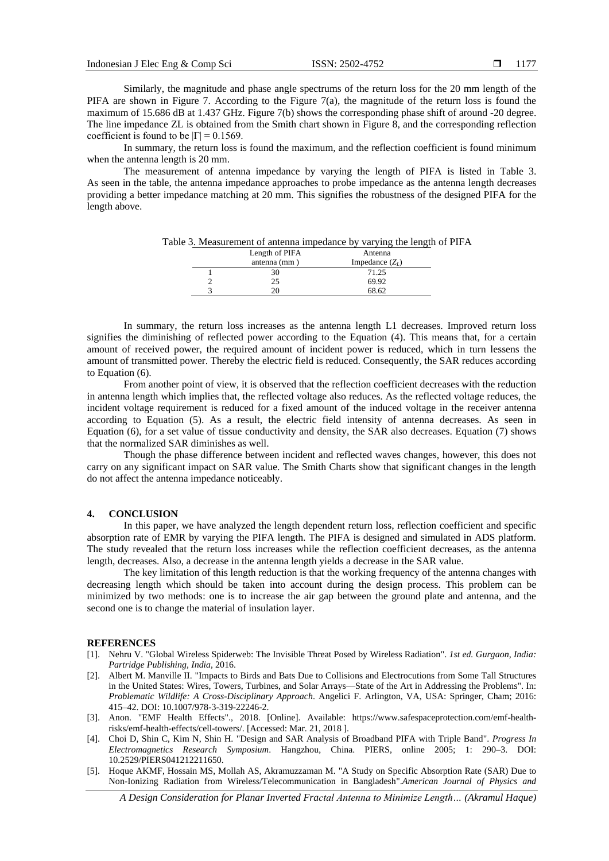Similarly, the magnitude and phase angle spectrums of the return loss for the 20 mm length of the PIFA are shown in Figure 7. According to the Figure 7(a), the magnitude of the return loss is found the maximum of 15.686 dB at 1.437 GHz. Figure 7(b) shows the corresponding phase shift of around -20 degree. The line impedance ZL is obtained from the Smith chart shown in Figure 8, and the corresponding reflection coefficient is found to be  $|\Gamma| = 0.1569$ .

In summary, the return loss is found the maximum, and the reflection coefficient is found minimum when the antenna length is 20 mm.

The measurement of antenna impedance by varying the length of PIFA is listed in Table 3. As seen in the table, the antenna impedance approaches to probe impedance as the antenna length decreases providing a better impedance matching at 20 mm. This signifies the robustness of the designed PIFA for the length above.

Table 3. Measurement of antenna impedance by varying the length of PIFA

| Length of PIFA | Antenna           |
|----------------|-------------------|
| antenna (mm)   | Impedance $(Z_t)$ |
| 30             | 71.25             |
| 25             | 69.92             |
|                | 68.62             |
|                |                   |

In summary, the return loss increases as the antenna length L1 decreases. Improved return loss signifies the diminishing of reflected power according to the Equation (4). This means that, for a certain amount of received power, the required amount of incident power is reduced, which in turn lessens the amount of transmitted power. Thereby the electric field is reduced. Consequently, the SAR reduces according to Equation (6).

From another point of view, it is observed that the reflection coefficient decreases with the reduction in antenna length which implies that, the reflected voltage also reduces. As the reflected voltage reduces, the incident voltage requirement is reduced for a fixed amount of the induced voltage in the receiver antenna according to Equation (5). As a result, the electric field intensity of antenna decreases. As seen in Equation (6), for a set value of tissue conductivity and density, the SAR also decreases. Equation (7) shows that the normalized SAR diminishes as well.

Though the phase difference between incident and reflected waves changes, however, this does not carry on any significant impact on SAR value. The Smith Charts show that significant changes in the length do not affect the antenna impedance noticeably.

#### **4. CONCLUSION**

In this paper, we have analyzed the length dependent return loss, reflection coefficient and specific absorption rate of EMR by varying the PIFA length. The PIFA is designed and simulated in ADS platform. The study revealed that the return loss increases while the reflection coefficient decreases, as the antenna length, decreases. Also, a decrease in the antenna length yields a decrease in the SAR value.

The key limitation of this length reduction is that the working frequency of the antenna changes with decreasing length which should be taken into account during the design process. This problem can be minimized by two methods: one is to increase the air gap between the ground plate and antenna, and the second one is to change the material of insulation layer.

#### **REFERENCES**

- [1]. Nehru V. "Global Wireless Spiderweb: The Invisible Threat Posed by Wireless Radiation". *1st ed. Gurgaon, India: Partridge Publishing, India*, 2016.
- [2]. Albert M. Manville II. "Impacts to Birds and Bats Due to Collisions and Electrocutions from Some Tall Structures in the United States: Wires, Towers, Turbines, and Solar Arrays—State of the Art in Addressing the Problems". In: *Problematic Wildlife: A Cross-Disciplinary Approach*. Angelici F. Arlington, VA, USA: Springer, Cham; 2016: 415–42. DOI: 10.1007/978-3-319-22246-2.
- [3]. Anon. "EMF Health Effects"., 2018. [Online]. Available: https://www.safespaceprotection.com/emf-healthrisks/emf-health-effects/cell-towers/. [Accessed: Mar. 21, 2018 ].
- [4]. Choi D, Shin C, Kim N, Shin H. "Design and SAR Analysis of Broadband PIFA with Triple Band". *Progress In Electromagnetics Research Symposium*. Hangzhou, China. PIERS, online 2005; 1: 290–3. DOI: 10.2529/PIERS041212211650.
- [5]. Hoque AKMF, Hossain MS, Mollah AS, Akramuzzaman M. "A Study on Specific Absorption Rate (SAR) Due to Non-Ionizing Radiation from Wireless/Telecommunication in Bangladesh".*American Journal of Physics and*